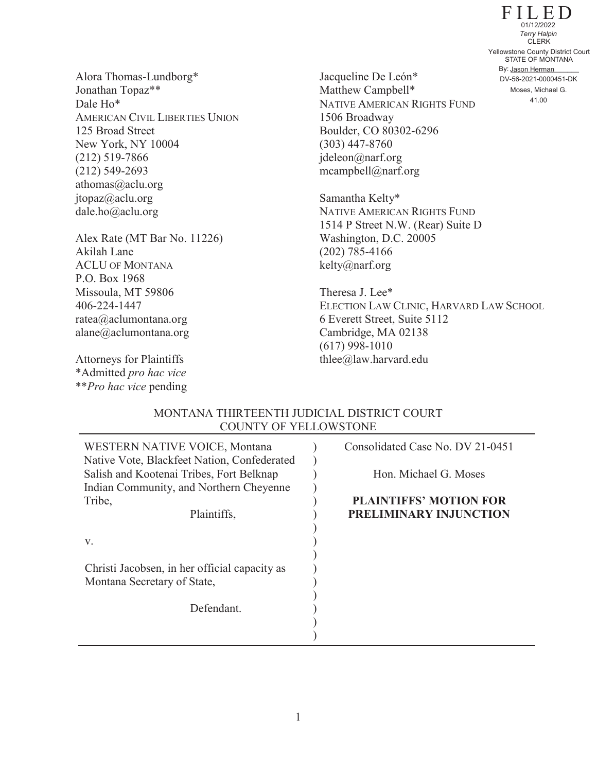FILED STATE OF MONTANA By: Jason Herman CLERK 41.00 Yellowstone County District Court DV-56-2021-0000451-DK 01/12/2022 *Terry Halpin* Moses, Michael G.

Alora Thomas-Lundborg\* Jonathan Topaz\*\* Dale Ho\* AMERICAN CIVIL LIBERTIES UNION 125 Broad Street New York, NY 10004 (212) 519-7866 (212) 549-2693 athomas@aclu.org jtopaz@aclu.org dale.ho@aclu.org

Alex Rate (MT Bar No. 11226) Akilah Lane ACLU OF MONTANA P.O. Box 1968 Missoula, MT 59806 406-224-1447 ratea@aclumontana.org alane@aclumontana.org

Attorneys for Plaintiffs \*Admitted *pro hac vice* \*\**Pro hac vice* pending

Jacqueline De León\* Matthew Campbell\* NATIVE AMERICAN RIGHTS FUND 1506 Broadway Boulder, CO 80302-6296 (303) 447-8760 jdeleon@narf.org mcampbell@narf.org

Samantha Kelty\* NATIVE AMERICAN RIGHTS FUND 1514 P Street N.W. (Rear) Suite D Washington, D.C. 20005 (202) 785-4166 kelty@narf.org

Theresa J. Lee\* ELECTION LAW CLINIC, HARVARD LAW SCHOOL 6 Everett Street, Suite 5112 Cambridge, MA 02138 (617) 998-1010 thlee@law.harvard.edu

## MONTANA THIRTEENTH JUDICIAL DISTRICT COURT COUNTY OF YELLOWSTONE

| WESTERN NATIVE VOICE, Montana<br>Native Vote, Blackfeet Nation, Confederated        | Consolidated Case No. DV 21-0451 |
|-------------------------------------------------------------------------------------|----------------------------------|
| Salish and Kootenai Tribes, Fort Belknap<br>Indian Community, and Northern Cheyenne | Hon. Michael G. Moses            |
| Tribe,                                                                              | <b>PLAINTIFFS' MOTION FOR</b>    |
| Plaintiffs,                                                                         | PRELIMINARY INJUNCTION           |
|                                                                                     |                                  |
| V.                                                                                  |                                  |
| Christi Jacobsen, in her official capacity as                                       |                                  |
| Montana Secretary of State,                                                         |                                  |
|                                                                                     |                                  |
| Defendant.                                                                          |                                  |
|                                                                                     |                                  |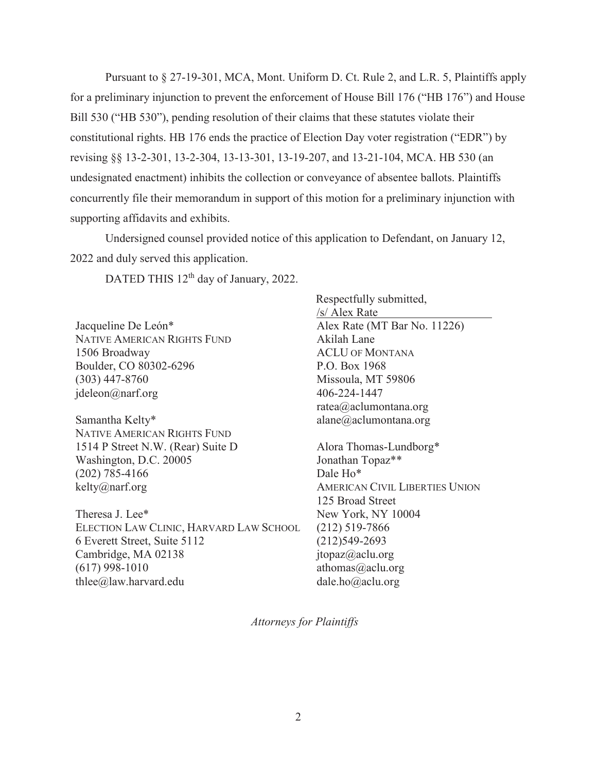Pursuant to § 27-19-301, MCA, Mont. Uniform D. Ct. Rule 2, and L.R. 5, Plaintiffs apply for a preliminary injunction to prevent the enforcement of House Bill 176 ("HB 176") and House Bill 530 ("HB 530"), pending resolution of their claims that these statutes violate their constitutional rights. HB 176 ends the practice of Election Day voter registration ("EDR") by revising §§ 13-2-301, 13-2-304, 13-13-301, 13-19-207, and 13-21-104, MCA. HB 530 (an undesignated enactment) inhibits the collection or conveyance of absentee ballots. Plaintiffs concurrently file their memorandum in support of this motion for a preliminary injunction with supporting affidavits and exhibits.

Undersigned counsel provided notice of this application to Defendant, on January 12, 2022 and duly served this application.

DATED THIS 12<sup>th</sup> day of January, 2022.

Jacqueline De León\* NATIVE AMERICAN RIGHTS FUND 1506 Broadway Boulder, CO 80302-6296 (303) 447-8760 jdeleon@narf.org

Samantha Kelty\* NATIVE AMERICAN RIGHTS FUND 1514 P Street N.W. (Rear) Suite D Washington, D.C. 20005 (202) 785-4166 kelty@narf.org

Theresa J. Lee\* ELECTION LAW CLINIC, HARVARD LAW SCHOOL 6 Everett Street, Suite 5112 Cambridge, MA 02138 (617) 998-1010 thlee@law.harvard.edu

Respectfully submitted, /s/ Alex Rate Alex Rate (MT Bar No. 11226) Akilah Lane ACLU OF MONTANA P.O. Box 1968 Missoula, MT 59806 406-224-1447 ratea@aclumontana.org alane@aclumontana.org

Alora Thomas-Lundborg\* Jonathan Topaz\*\* Dale Ho\* AMERICAN CIVIL LIBERTIES UNION 125 Broad Street New York, NY 10004 (212) 519-7866 (212)549-2693 jtopaz@aclu.org athomas@aclu.org dale.ho@aclu.org

*Attorneys for Plaintiffs*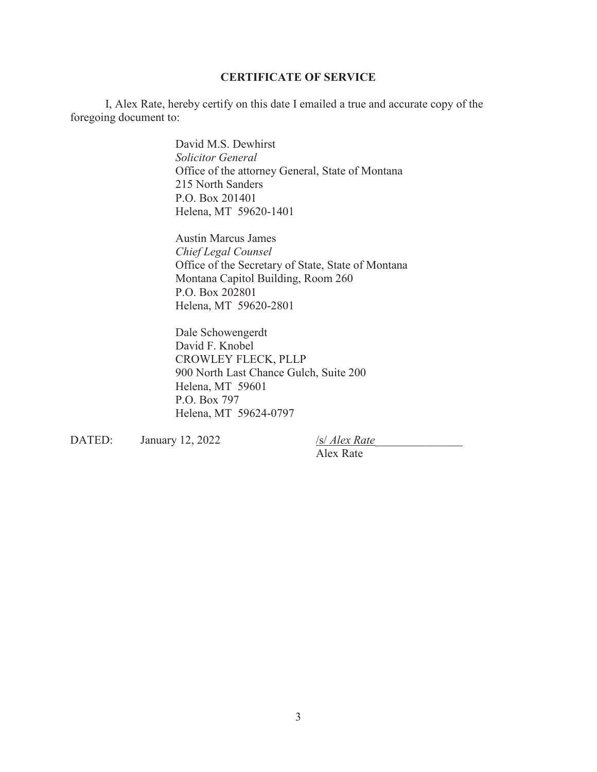## **CERTIFICATE OF SERVICE**

I, Alex Rate, hereby certify on this date I emailed a true and accurate copy of the foregoing document to:

> David M.S. Dewhirst *Solicitor General* Office of the attorney General, State of Montana 215 North Sanders P.O. Box 201401 Helena, MT 59620-1401

Austin Marcus James *Chief Legal Counsel* Office of the Secretary of State, State of Montana Montana Capitol Building, Room 260 P.O. Box 202801 Helena, MT 59620-2801

Dale Schowengerdt David F. Knobel CROWLEY FLECK, PLLP 900 North Last Chance Gulch, Suite 200 Helena, MT 59601 P.O. Box 797 Helena, MT 59624-0797

DATED: January 12, 2022 /s/ *Alex Rate*\_\_\_\_\_\_\_\_\_\_\_\_\_\_\_

Alex Rate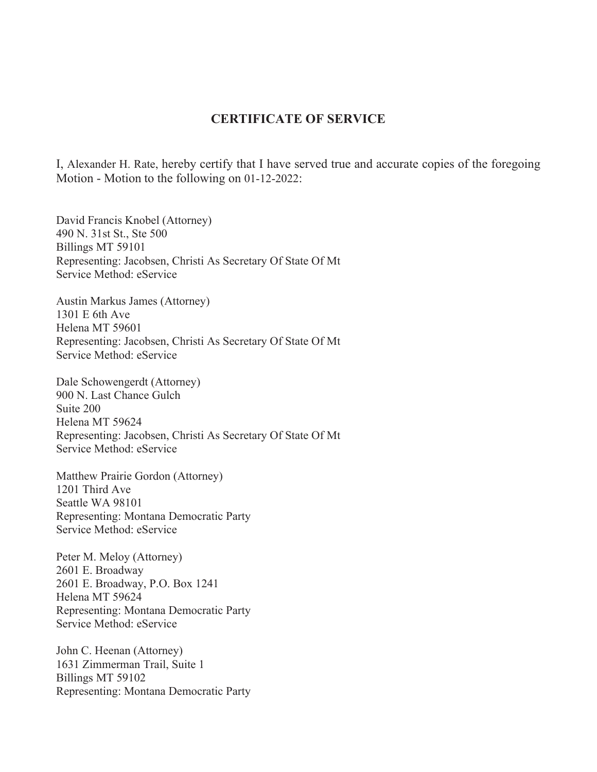## **CERTIFICATE OF SERVICE**

I, Alexander H. Rate, hereby certify that I have served true and accurate copies of the foregoing Motion - Motion to the following on 01-12-2022:

David Francis Knobel (Attorney) 490 N. 31st St., Ste 500 Billings MT 59101 Representing: Jacobsen, Christi As Secretary Of State Of Mt Service Method: eService

Austin Markus James (Attorney) 1301 E 6th Ave Helena MT 59601 Representing: Jacobsen, Christi As Secretary Of State Of Mt Service Method: eService

Dale Schowengerdt (Attorney) 900 N. Last Chance Gulch Suite 200 Helena MT 59624 Representing: Jacobsen, Christi As Secretary Of State Of Mt Service Method: eService

Matthew Prairie Gordon (Attorney) 1201 Third Ave Seattle WA 98101 Representing: Montana Democratic Party Service Method: eService

Peter M. Meloy (Attorney) 2601 E. Broadway 2601 E. Broadway, P.O. Box 1241 Helena MT 59624 Representing: Montana Democratic Party Service Method: eService

John C. Heenan (Attorney) 1631 Zimmerman Trail, Suite 1 Billings MT 59102 Representing: Montana Democratic Party